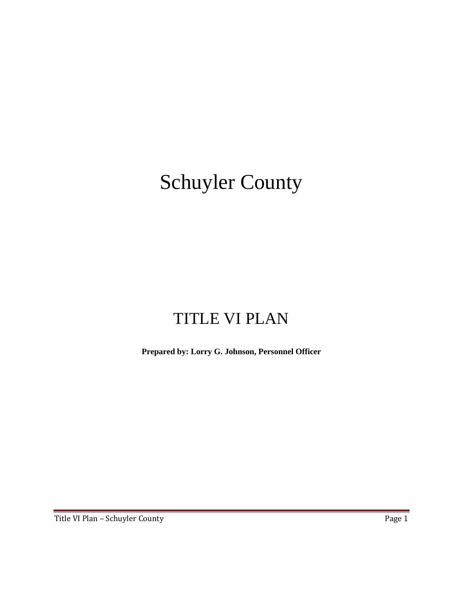# Schuyler County

# TITLE VI PLAN

**Prepared by: Lorry G. Johnson, Personnel Officer**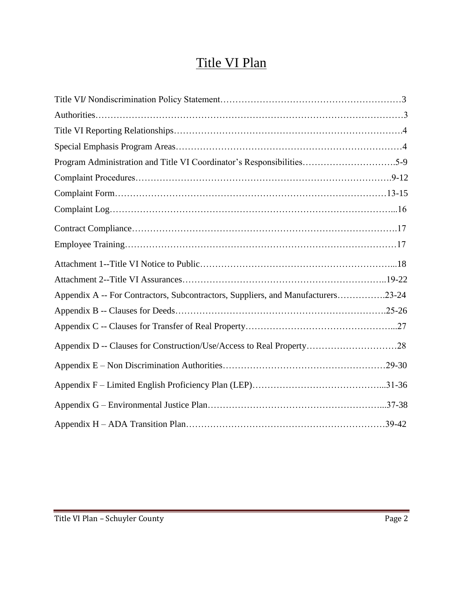# Title VI Plan

| Program Administration and Title VI Coordinator's Responsibilities5-9            |  |
|----------------------------------------------------------------------------------|--|
|                                                                                  |  |
|                                                                                  |  |
|                                                                                  |  |
|                                                                                  |  |
|                                                                                  |  |
|                                                                                  |  |
|                                                                                  |  |
| Appendix A -- For Contractors, Subcontractors, Suppliers, and Manufacturers23-24 |  |
|                                                                                  |  |
|                                                                                  |  |
| Appendix D -- Clauses for Construction/Use/Access to Real Property28             |  |
|                                                                                  |  |
|                                                                                  |  |
|                                                                                  |  |
|                                                                                  |  |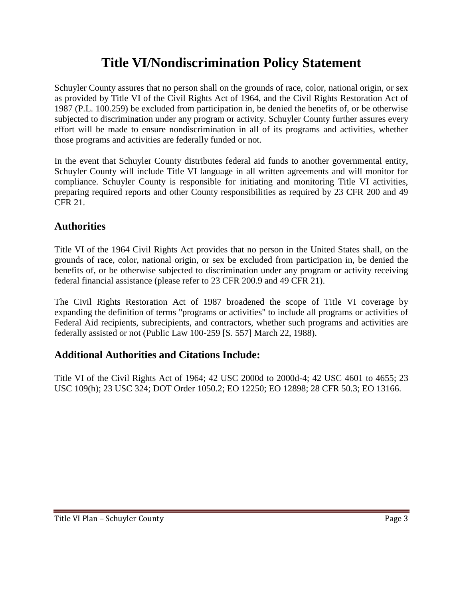# **Title VI/Nondiscrimination Policy Statement**

Schuyler County assures that no person shall on the grounds of race, color, national origin, or sex as provided by Title VI of the Civil Rights Act of 1964, and the Civil Rights Restoration Act of 1987 (P.L. 100.259) be excluded from participation in, be denied the benefits of, or be otherwise subjected to discrimination under any program or activity. Schuyler County further assures every effort will be made to ensure nondiscrimination in all of its programs and activities, whether those programs and activities are federally funded or not.

In the event that Schuyler County distributes federal aid funds to another governmental entity, Schuyler County will include Title VI language in all written agreements and will monitor for compliance. Schuyler County is responsible for initiating and monitoring Title VI activities, preparing required reports and other County responsibilities as required by 23 CFR 200 and 49 CFR 21.

### **Authorities**

Title VI of the 1964 Civil Rights Act provides that no person in the United States shall, on the grounds of race, color, national origin, or sex be excluded from participation in, be denied the benefits of, or be otherwise subjected to discrimination under any program or activity receiving federal financial assistance (please refer to 23 CFR 200.9 and 49 CFR 21).

The Civil Rights Restoration Act of 1987 broadened the scope of Title VI coverage by expanding the definition of terms "programs or activities" to include all programs or activities of Federal Aid recipients, subrecipients, and contractors, whether such programs and activities are federally assisted or not (Public Law 100-259 [S. 557] March 22, 1988).

### **Additional Authorities and Citations Include:**

Title VI of the Civil Rights Act of 1964; 42 USC 2000d to 2000d-4; 42 USC 4601 to 4655; 23 USC 109(h); 23 USC 324; DOT Order 1050.2; EO 12250; EO 12898; 28 CFR 50.3; EO 13166.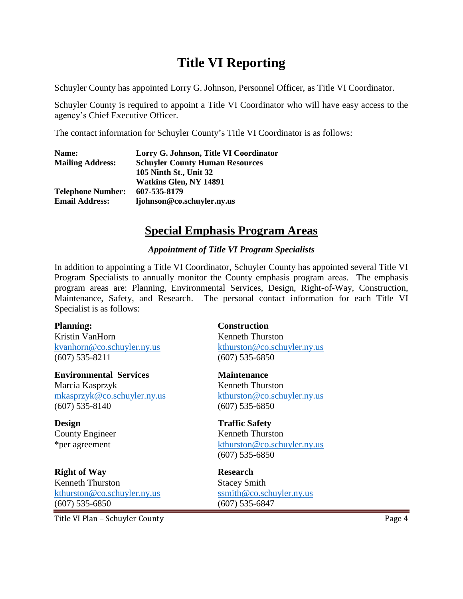### **Title VI Reporting**

Schuyler County has appointed Lorry G. Johnson, Personnel Officer, as Title VI Coordinator.

Schuyler County is required to appoint a Title VI Coordinator who will have easy access to the agency's Chief Executive Officer.

The contact information for Schuyler County's Title VI Coordinator is as follows:

| Name:                    | Lorry G. Johnson, Title VI Coordinator |
|--------------------------|----------------------------------------|
| <b>Mailing Address:</b>  | <b>Schuyler County Human Resources</b> |
|                          | 105 Ninth St., Unit 32                 |
|                          | <b>Watkins Glen, NY 14891</b>          |
| <b>Telephone Number:</b> | 607-535-8179                           |
| <b>Email Address:</b>    | ljohnson@co.schuyler.ny.us             |

### **Special Emphasis Program Areas**

#### *Appointment of Title VI Program Specialists*

In addition to appointing a Title VI Coordinator, Schuyler County has appointed several Title VI Program Specialists to annually monitor the County emphasis program areas. The emphasis program areas are: Planning, Environmental Services, Design, Right-of-Way, Construction, Maintenance, Safety, and Research. The personal contact information for each Title VI Specialist is as follows:

#### **Planning: Construction** Kristin VanHorn Kenneth Thurston [kvanhorn@co.schuyler.ny.us](mailto:kvanhorn@co.schuyler.ny.us) [kthurston@co.schuyler.ny.us](mailto:kthurston@co.schuyler.ny.us) (607) 535-8211 (607) 535-6850

**Environmental Services Maintenance** Marcia Kasprzyk Kenneth Thurston [mkasprzyk@co.schuyler.ny.us](mailto:mkasprzyk@co.schuyler.ny.us) [kthurston@co.schuyler.ny.us](mailto:kthurston@co.schuyler.ny.us) (607) 535-8140 (607) 535-6850

**Design Traffic Safety**

**Right of Way Research** Kenneth Thurston Stacey Smith [kthurston@co.schuyler.ny.us](mailto:kthurston@co.schuyler.ny.us) [ssmith@co.schuyler.ny.us](mailto:ssmith@co.schuyler.ny.us) (607) 535-6850 (607) 535-6847

County Engineer Kenneth Thurston \*per agreement [kthurston@co.schuyler.ny.us](mailto:kthurston@co.schuyler.ny.us) (607) 535-6850

Title VI Plan – Schuyler County **Page 4**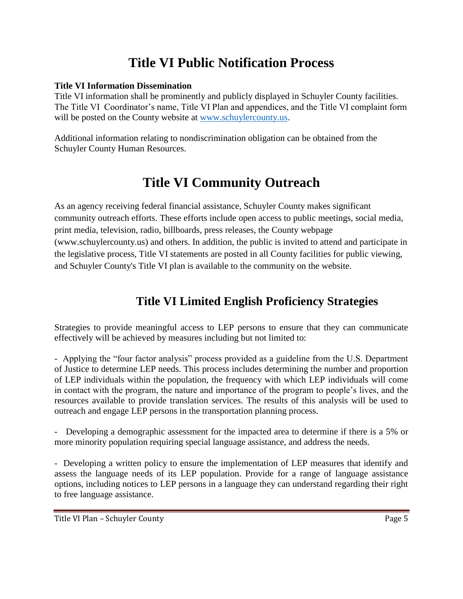# **Title VI Public Notification Process**

#### **Title VI Information Dissemination**

Title VI information shall be prominently and publicly displayed in Schuyler County facilities. The Title VI Coordinator's name, Title VI Plan and appendices, and the Title VI complaint form will be posted on the County website at [www.schuylercounty.us.](http://www.schuylercounty.us/)

Additional information relating to nondiscrimination obligation can be obtained from the Schuyler County Human Resources.

### **Title VI Community Outreach**

As an agency receiving federal financial assistance, Schuyler County makes significant community outreach efforts. These efforts include open access to public meetings, social media, print media, television, radio, billboards, press releases, the County webpage (www.schuylercounty.us) and others. In addition, the public is invited to attend and participate in the legislative process, Title VI statements are posted in all County facilities for public viewing, and Schuyler County's Title VI plan is available to the community on the website.

### **Title VI Limited English Proficiency Strategies**

Strategies to provide meaningful access to LEP persons to ensure that they can communicate effectively will be achieved by measures including but not limited to:

- Applying the "four factor analysis" process provided as a guideline from the U.S. Department of Justice to determine LEP needs. This process includes determining the number and proportion of LEP individuals within the population, the frequency with which LEP individuals will come in contact with the program, the nature and importance of the program to people's lives, and the resources available to provide translation services. The results of this analysis will be used to outreach and engage LEP persons in the transportation planning process.

- Developing a demographic assessment for the impacted area to determine if there is a 5% or more minority population requiring special language assistance, and address the needs.

- Developing a written policy to ensure the implementation of LEP measures that identify and assess the language needs of its LEP population. Provide for a range of language assistance options, including notices to LEP persons in a language they can understand regarding their right to free language assistance.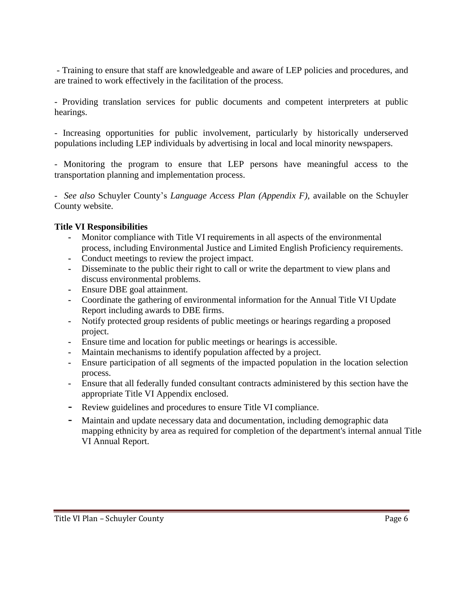- Training to ensure that staff are knowledgeable and aware of LEP policies and procedures, and are trained to work effectively in the facilitation of the process.

- Providing translation services for public documents and competent interpreters at public hearings.

- Increasing opportunities for public involvement, particularly by historically underserved populations including LEP individuals by advertising in local and local minority newspapers.

- Monitoring the program to ensure that LEP persons have meaningful access to the transportation planning and implementation process.

- *See also* Schuyler County's *Language Access Plan (Appendix F),* available on the Schuyler County website.

#### **Title VI Responsibilities**

- **-** Monitor compliance with Title VI requirements in all aspects of the environmental process, including Environmental Justice and Limited English Proficiency requirements.
- **-** Conduct meetings to review the project impact.
- **-** Disseminate to the public their right to call or write the department to view plans and discuss environmental problems.
- **-** Ensure DBE goal attainment.
- **-** Coordinate the gathering of environmental information for the Annual Title VI Update Report including awards to DBE firms.
- **-** Notify protected group residents of public meetings or hearings regarding a proposed project.
- **-** Ensure time and location for public meetings or hearings is accessible.
- **-** Maintain mechanisms to identify population affected by a project.
- **-** Ensure participation of all segments of the impacted population in the location selection process.
- **-** Ensure that all federally funded consultant contracts administered by this section have the appropriate Title VI Appendix enclosed.
- **-** Review guidelines and procedures to ensure Title VI compliance.
- **-** Maintain and update necessary data and documentation, including demographic data mapping ethnicity by area as required for completion of the department's internal annual Title VI Annual Report.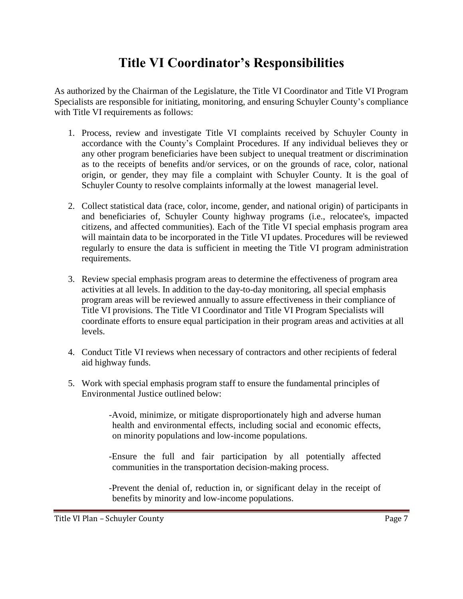## **Title VI Coordinator's Responsibilities**

As authorized by the Chairman of the Legislature, the Title VI Coordinator and Title VI Program Specialists are responsible for initiating, monitoring, and ensuring Schuyler County's compliance with Title VI requirements as follows:

- 1. Process, review and investigate Title VI complaints received by Schuyler County in accordance with the County's Complaint Procedures. If any individual believes they or any other program beneficiaries have been subject to unequal treatment or discrimination as to the receipts of benefits and/or services, or on the grounds of race, color, national origin, or gender, they may file a complaint with Schuyler County. It is the goal of Schuyler County to resolve complaints informally at the lowest managerial level.
- 2. Collect statistical data (race, color, income, gender, and national origin) of participants in and beneficiaries of, Schuyler County highway programs (i.e., relocatee's, impacted citizens, and affected communities). Each of the Title VI special emphasis program area will maintain data to be incorporated in the Title VI updates. Procedures will be reviewed regularly to ensure the data is sufficient in meeting the Title VI program administration requirements.
- 3. Review special emphasis program areas to determine the effectiveness of program area activities at all levels. In addition to the day-to-day monitoring, all special emphasis program areas will be reviewed annually to assure effectiveness in their compliance of Title VI provisions. The Title VI Coordinator and Title VI Program Specialists will coordinate efforts to ensure equal participation in their program areas and activities at all levels.
- 4. Conduct Title VI reviews when necessary of contractors and other recipients of federal aid highway funds.
- 5. Work with special emphasis program staff to ensure the fundamental principles of Environmental Justice outlined below:

-Avoid, minimize, or mitigate disproportionately high and adverse human health and environmental effects, including social and economic effects, on minority populations and low-income populations.

-Ensure the full and fair participation by all potentially affected communities in the transportation decision-making process.

-Prevent the denial of, reduction in, or significant delay in the receipt of benefits by minority and low-income populations.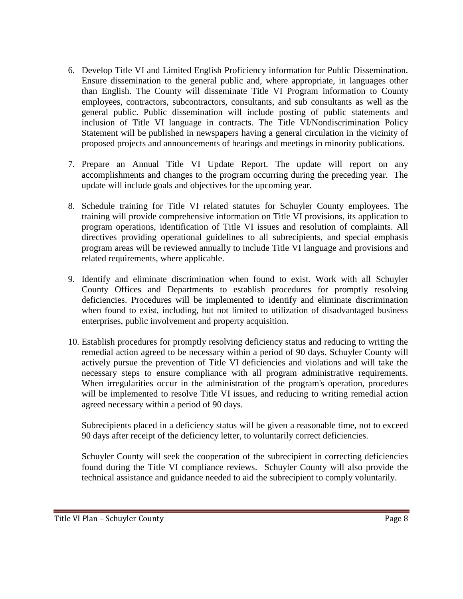- 6. Develop Title VI and Limited English Proficiency information for Public Dissemination. Ensure dissemination to the general public and, where appropriate, in languages other than English. The County will disseminate Title VI Program information to County employees, contractors, subcontractors, consultants, and sub consultants as well as the general public. Public dissemination will include posting of public statements and inclusion of Title VI language in contracts. The Title VI/Nondiscrimination Policy Statement will be published in newspapers having a general circulation in the vicinity of proposed projects and announcements of hearings and meetings in minority publications.
- 7. Prepare an Annual Title VI Update Report. The update will report on any accomplishments and changes to the program occurring during the preceding year. The update will include goals and objectives for the upcoming year.
- 8. Schedule training for Title VI related statutes for Schuyler County employees. The training will provide comprehensive information on Title VI provisions, its application to program operations, identification of Title VI issues and resolution of complaints. All directives providing operational guidelines to all subrecipients, and special emphasis program areas will be reviewed annually to include Title VI language and provisions and related requirements, where applicable.
- 9. Identify and eliminate discrimination when found to exist. Work with all Schuyler County Offices and Departments to establish procedures for promptly resolving deficiencies. Procedures will be implemented to identify and eliminate discrimination when found to exist, including, but not limited to utilization of disadvantaged business enterprises, public involvement and property acquisition.
- 10. Establish procedures for promptly resolving deficiency status and reducing to writing the remedial action agreed to be necessary within a period of 90 days. Schuyler County will actively pursue the prevention of Title VI deficiencies and violations and will take the necessary steps to ensure compliance with all program administrative requirements. When irregularities occur in the administration of the program's operation, procedures will be implemented to resolve Title VI issues, and reducing to writing remedial action agreed necessary within a period of 90 days.

Subrecipients placed in a deficiency status will be given a reasonable time, not to exceed 90 days after receipt of the deficiency letter, to voluntarily correct deficiencies.

Schuyler County will seek the cooperation of the subrecipient in correcting deficiencies found during the Title VI compliance reviews. Schuyler County will also provide the technical assistance and guidance needed to aid the subrecipient to comply voluntarily.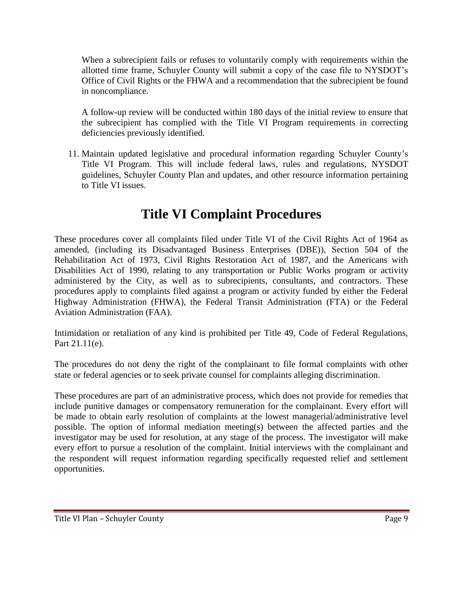When a subrecipient fails or refuses to voluntarily comply with requirements within the allotted time frame, Schuyler County will submit a copy of the case file to NYSDOT's Office of Civil Rights or the FHWA and a recommendation that the subrecipient be found in noncompliance.

A follow-up review will be conducted within 180 days of the initial review to ensure that the subrecipient has complied with the Title VI Program requirements in correcting deficiencies previously identified.

11. Maintain updated legislative and procedural information regarding Schuyler County's Title VI Program. This will include federal laws, rules and regulations, NYSDOT guidelines, Schuyler County Plan and updates, and other resource information pertaining to Title VI issues.

## **Title VI Complaint Procedures**

These procedures cover all complaints filed under Title VI of the Civil Rights Act of 1964 as amended, (including its Disadvantaged Business Enterprises (DBE)), Section 504 of the Rehabilitation Act of 1973, Civil Rights Restoration Act of 1987, and the Americans with Disabilities Act of 1990, relating to any transportation or Public Works program or activity administered by the City, as well as to subrecipients, consultants, and contractors. These procedures apply to complaints filed against a program or activity funded by either the Federal Highway Administration (FHWA), the Federal Transit Administration (FTA) or the Federal Aviation Administration (FAA).

Intimidation or retaliation of any kind is prohibited per Title 49, Code of Federal Regulations, Part 21.11(e).

The procedures do not deny the right of the complainant to file formal complaints with other state or federal agencies or to seek private counsel for complaints alleging discrimination.

These procedures are part of an administrative process, which does not provide for remedies that include punitive damages or compensatory remuneration for the complainant. Every effort will be made to obtain early resolution of complaints at the lowest managerial/administrative level possible. The option of informal mediation meeting(s) between the affected parties and the investigator may be used for resolution, at any stage of the process. The investigator will make every effort to pursue a resolution of the complaint. Initial interviews with the complainant and the respondent will request information regarding specifically requested relief and settlement opportunities.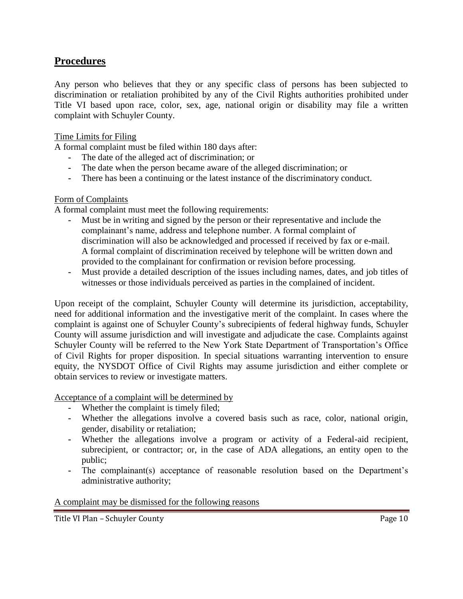### **Procedures**

Any person who believes that they or any specific class of persons has been subjected to discrimination or retaliation prohibited by any of the Civil Rights authorities prohibited under Title VI based upon race, color, sex, age, national origin or disability may file a written complaint with Schuyler County.

#### Time Limits for Filing

A formal complaint must be filed within 180 days after:

- **-** The date of the alleged act of discrimination; or
- **-** The date when the person became aware of the alleged discrimination; or
- **-** There has been a continuing or the latest instance of the discriminatory conduct.

#### Form of Complaints

A formal complaint must meet the following requirements:

- **-** Must be in writing and signed by the person or their representative and include the complainant's name, address and telephone number. A formal complaint of discrimination will also be acknowledged and processed if received by fax or e-mail. A formal complaint of discrimination received by telephone will be written down and provided to the complainant for confirmation or revision before processing.
- **-** Must provide a detailed description of the issues including names, dates, and job titles of witnesses or those individuals perceived as parties in the complained of incident.

Upon receipt of the complaint, Schuyler County will determine its jurisdiction, acceptability, need for additional information and the investigative merit of the complaint. In cases where the complaint is against one of Schuyler County's subrecipients of federal highway funds, Schuyler County will assume jurisdiction and will investigate and adjudicate the case. Complaints against Schuyler County will be referred to the New York State Department of Transportation's Office of Civil Rights for proper disposition. In special situations warranting intervention to ensure equity, the NYSDOT Office of Civil Rights may assume jurisdiction and either complete or obtain services to review or investigate matters.

Acceptance of a complaint will be determined by

- **-** Whether the complaint is timely filed;
- **-** Whether the allegations involve a covered basis such as race, color, national origin, gender, disability or retaliation;
- **-** Whether the allegations involve a program or activity of a Federal-aid recipient, subrecipient, or contractor; or, in the case of ADA allegations, an entity open to the public;
- **-** The complainant(s) acceptance of reasonable resolution based on the Department's administrative authority;

#### A complaint may be dismissed for the following reasons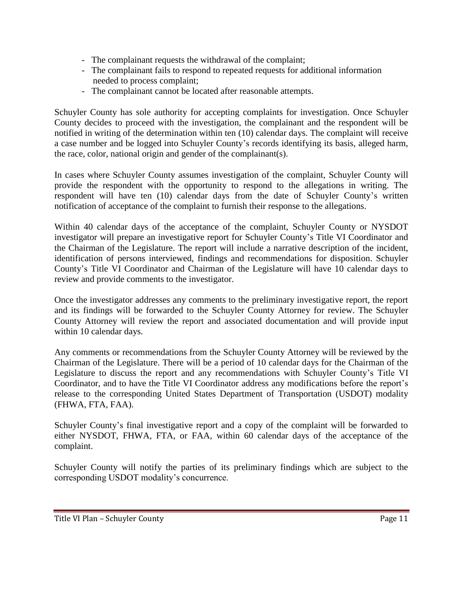- The complainant requests the withdrawal of the complaint;
- The complainant fails to respond to repeated requests for additional information needed to process complaint;
- The complainant cannot be located after reasonable attempts.

Schuyler County has sole authority for accepting complaints for investigation. Once Schuyler County decides to proceed with the investigation, the complainant and the respondent will be notified in writing of the determination within ten (10) calendar days. The complaint will receive a case number and be logged into Schuyler County's records identifying its basis, alleged harm, the race, color, national origin and gender of the complainant(s).

In cases where Schuyler County assumes investigation of the complaint, Schuyler County will provide the respondent with the opportunity to respond to the allegations in writing. The respondent will have ten (10) calendar days from the date of Schuyler County's written notification of acceptance of the complaint to furnish their response to the allegations.

Within 40 calendar days of the acceptance of the complaint, Schuyler County or NYSDOT investigator will prepare an investigative report for Schuyler County's Title VI Coordinator and the Chairman of the Legislature. The report will include a narrative description of the incident, identification of persons interviewed, findings and recommendations for disposition. Schuyler County's Title VI Coordinator and Chairman of the Legislature will have 10 calendar days to review and provide comments to the investigator.

Once the investigator addresses any comments to the preliminary investigative report, the report and its findings will be forwarded to the Schuyler County Attorney for review. The Schuyler County Attorney will review the report and associated documentation and will provide input within 10 calendar days.

Any comments or recommendations from the Schuyler County Attorney will be reviewed by the Chairman of the Legislature. There will be a period of 10 calendar days for the Chairman of the Legislature to discuss the report and any recommendations with Schuyler County's Title VI Coordinator, and to have the Title VI Coordinator address any modifications before the report's release to the corresponding United States Department of Transportation (USDOT) modality (FHWA, FTA, FAA).

Schuyler County's final investigative report and a copy of the complaint will be forwarded to either NYSDOT, FHWA, FTA, or FAA, within 60 calendar days of the acceptance of the complaint.

Schuyler County will notify the parties of its preliminary findings which are subject to the corresponding USDOT modality's concurrence.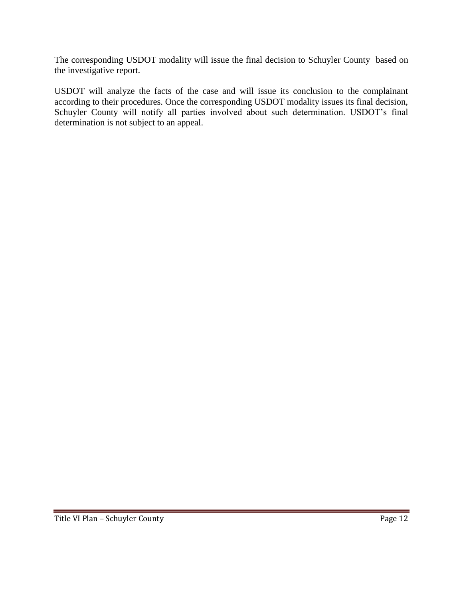The corresponding USDOT modality will issue the final decision to Schuyler County based on the investigative report.

USDOT will analyze the facts of the case and will issue its conclusion to the complainant according to their procedures. Once the corresponding USDOT modality issues its final decision, Schuyler County will notify all parties involved about such determination. USDOT's final determination is not subject to an appeal.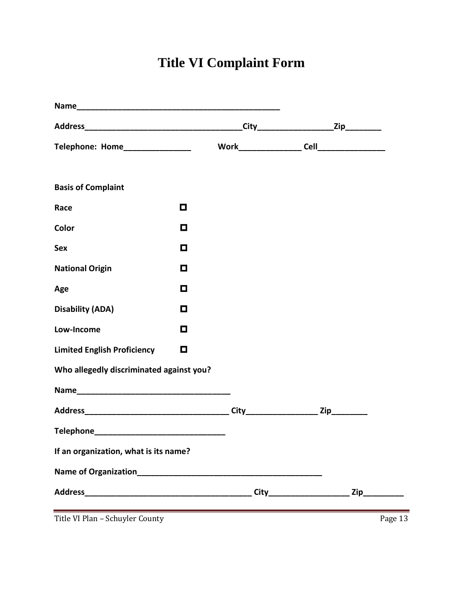# **Title VI Complaint Form**

| Telephone: Home_________________         |        |                       |                                 |
|------------------------------------------|--------|-----------------------|---------------------------------|
|                                          |        |                       |                                 |
| <b>Basis of Complaint</b>                |        |                       |                                 |
| Race                                     | О      |                       |                                 |
| Color                                    | $\Box$ |                       |                                 |
| <b>Sex</b>                               | $\Box$ |                       |                                 |
| <b>National Origin</b>                   | О      |                       |                                 |
| Age                                      | О      |                       |                                 |
| <b>Disability (ADA)</b>                  | $\Box$ |                       |                                 |
| Low-Income                               | $\Box$ |                       |                                 |
| <b>Limited English Proficiency</b>       | $\Box$ |                       |                                 |
| Who allegedly discriminated against you? |        |                       |                                 |
|                                          |        |                       |                                 |
|                                          |        |                       |                                 |
|                                          |        |                       |                                 |
| If an organization, what is its name?    |        |                       |                                 |
| Name of Organization                     |        |                       |                                 |
|                                          |        | <b>City</b> 2008 2014 | $\mathsf{Zip}\_\_\_\_\_\_\_\_\$ |
| Title VI Plan - Schuyler County          |        |                       | Page 13                         |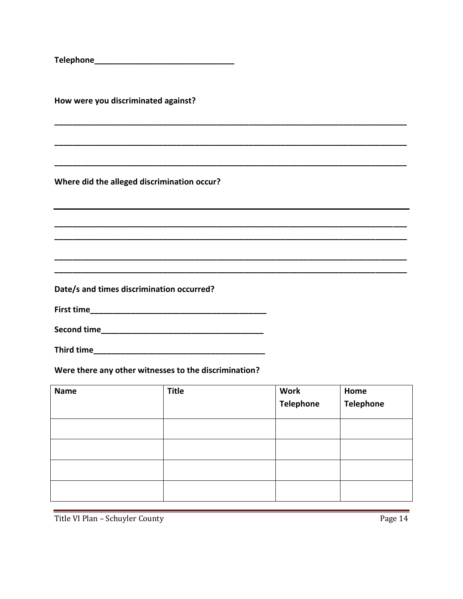How were you discriminated against?

Where did the alleged discrimination occur?

Date/s and times discrimination occurred?

Were there any other witnesses to the discrimination?

| <b>Name</b> | <b>Title</b> | <b>Work</b><br><b>Telephone</b> | Home<br><b>Telephone</b> |
|-------------|--------------|---------------------------------|--------------------------|
|             |              |                                 |                          |
|             |              |                                 |                          |
|             |              |                                 |                          |
|             |              |                                 |                          |

Title VI Plan - Schuyler County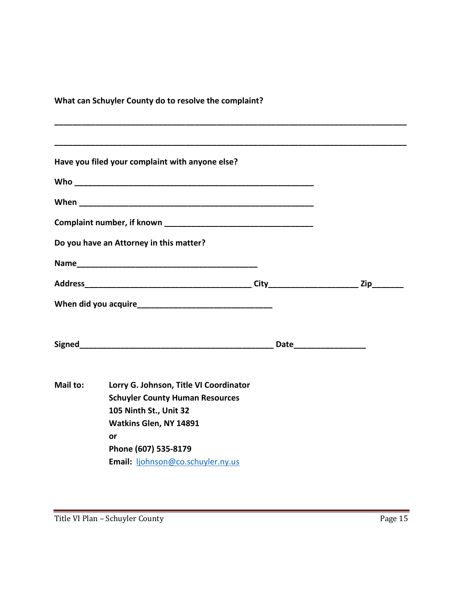**What can Schuyler County do to resolve the complaint?**

|          | Have you filed your complaint with anyone else? |  |  |  |  |  |
|----------|-------------------------------------------------|--|--|--|--|--|
|          |                                                 |  |  |  |  |  |
|          |                                                 |  |  |  |  |  |
|          |                                                 |  |  |  |  |  |
|          | Do you have an Attorney in this matter?         |  |  |  |  |  |
|          |                                                 |  |  |  |  |  |
|          |                                                 |  |  |  |  |  |
|          |                                                 |  |  |  |  |  |
|          |                                                 |  |  |  |  |  |
|          |                                                 |  |  |  |  |  |
| Mail to: | Lorry G. Johnson, Title VI Coordinator          |  |  |  |  |  |
|          | <b>Schuyler County Human Resources</b>          |  |  |  |  |  |
|          | 105 Ninth St., Unit 32                          |  |  |  |  |  |
|          | Watkins Glen, NY 14891                          |  |  |  |  |  |
|          | or                                              |  |  |  |  |  |
|          | Phone (607) 535-8179                            |  |  |  |  |  |
|          | Email: ljohnson@co.schuyler.ny.us               |  |  |  |  |  |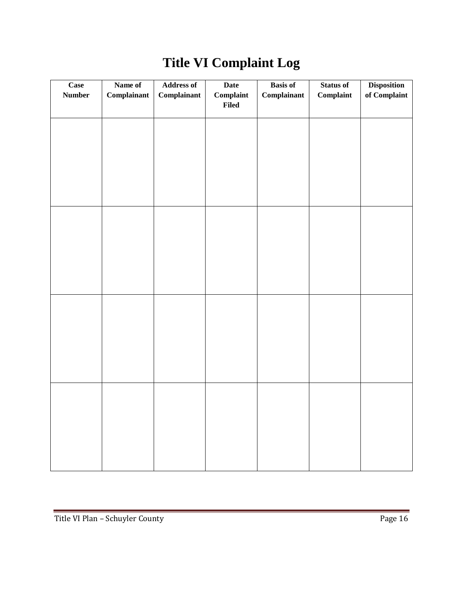| Case<br><b>Number</b> | Name of<br>Complainant | <b>Address of</b><br>Complainant | <b>Date</b><br>Complain<br><b>Filed</b> | <b>Basis of</b><br>Complainant | <b>Status of</b><br>Complaint | <b>Disposition</b><br>of Complaint |
|-----------------------|------------------------|----------------------------------|-----------------------------------------|--------------------------------|-------------------------------|------------------------------------|
|                       |                        |                                  |                                         |                                |                               |                                    |
|                       |                        |                                  |                                         |                                |                               |                                    |
|                       |                        |                                  |                                         |                                |                               |                                    |
|                       |                        |                                  |                                         |                                |                               |                                    |
|                       |                        |                                  |                                         |                                |                               |                                    |
|                       |                        |                                  |                                         |                                |                               |                                    |
|                       |                        |                                  |                                         |                                |                               |                                    |
|                       |                        |                                  |                                         |                                |                               |                                    |

# **Title VI Complaint Log**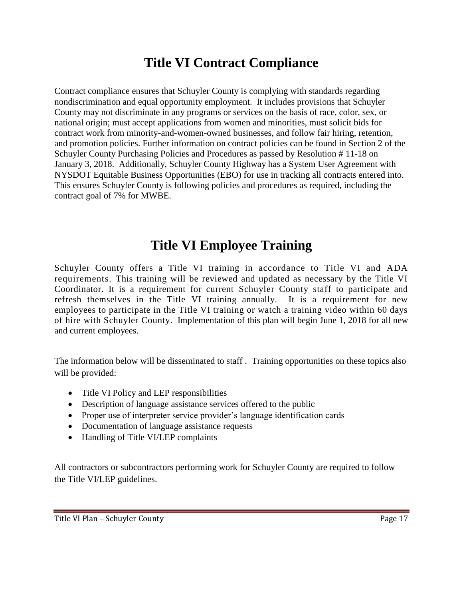## **Title VI Contract Compliance**

Contract compliance ensures that Schuyler County is complying with standards regarding nondiscrimination and equal opportunity employment. It includes provisions that Schuyler County may not discriminate in any programs or services on the basis of race, color, sex, or national origin; must accept applications from women and minorities, must solicit bids for contract work from minority-and-women-owned businesses, and follow fair hiring, retention, and promotion policies. Further information on contract policies can be found in Section 2 of the Schuyler County Purchasing Policies and Procedures as passed by Resolution # 11-18 on January 3, 2018. Additionally, Schuyler County Highway has a System User Agreement with NYSDOT Equitable Business Opportunities (EBO) for use in tracking all contracts entered into. This ensures Schuyler County is following policies and procedures as required, including the contract goal of 7% for MWBE.

### **Title VI Employee Training**

Schuyler County offers a Title VI training in accordance to Title VI and ADA requirements. This training will be reviewed and updated as necessary by the Title VI Coordinator. It is a requirement for current Schuyler County staff to participate and refresh themselves in the Title VI training annually. It is a requirement for new employees to participate in the Title VI training or watch a training video within 60 days of hire with Schuyler County. Implementation of this plan will begin June 1, 2018 for all new and current employees.

The information below will be disseminated to staff . Training opportunities on these topics also will be provided:

- Title VI Policy and LEP responsibilities
- Description of language assistance services offered to the public
- Proper use of interpreter service provider's language identification cards
- Documentation of language assistance requests
- Handling of Title VI/LEP complaints

All contractors or subcontractors performing work for Schuyler County are required to follow the Title VI/LEP guidelines.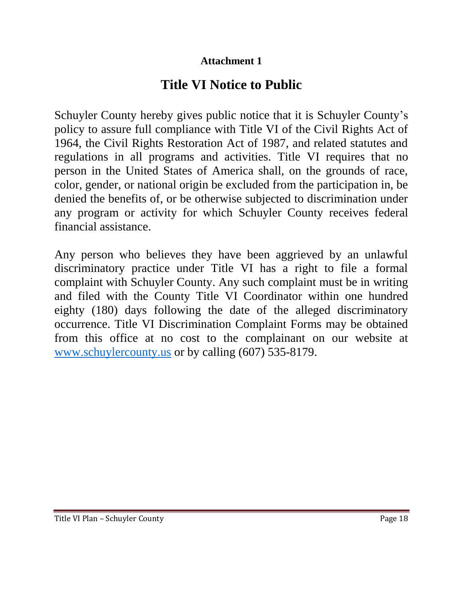### **Attachment 1**

# **Title VI Notice to Public**

Schuyler County hereby gives public notice that it is Schuyler County's policy to assure full compliance with Title VI of the Civil Rights Act of 1964, the Civil Rights Restoration Act of 1987, and related statutes and regulations in all programs and activities. Title VI requires that no person in the United States of America shall, on the grounds of race, color, gender, or national origin be excluded from the participation in, be denied the benefits of, or be otherwise subjected to discrimination under any program or activity for which Schuyler County receives federal financial assistance.

Any person who believes they have been aggrieved by an unlawful discriminatory practice under Title VI has a right to file a formal complaint with Schuyler County. Any such complaint must be in writing and filed with the County Title VI Coordinator within one hundred eighty (180) days following the date of the alleged discriminatory occurrence. Title VI Discrimination Complaint Forms may be obtained from this office at no cost to the complainant on our website at [www.schuylercounty.us](http://www.schuylercounty.us/) or by calling (607) 535-8179.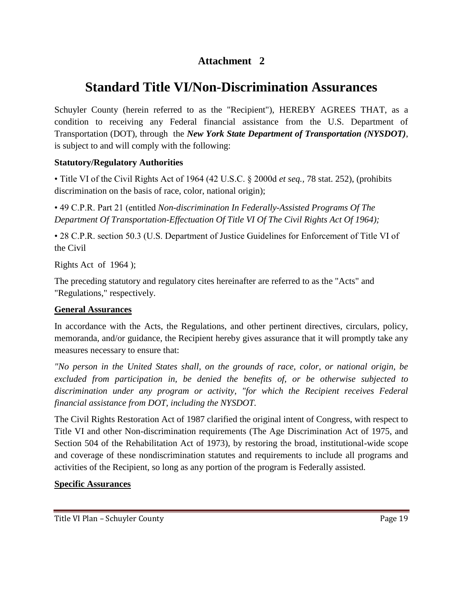### **Attachment 2**

## **Standard Title VI/Non-Discrimination Assurances**

Schuyler County (herein referred to as the "Recipient"), HEREBY AGREES THAT, as a condition to receiving any Federal financial assistance from the U.S. Department of Transportation (DOT), through the *New York State Department of Transportation (NYSDOT)*, is subject to and will comply with the following:

#### **Statutory/Regulatory Authorities**

• Title VI of the Civil Rights Act of 1964 (42 U.S.C. § 2000d *et seq.,* 78 stat. 252), (prohibits discrimination on the basis of race, color, national origin);

• 49 C.P.R. Part 21 (entitled *Non-discrimination In Federally-Assisted Programs Of The Department Of Transportation-Effectuation Of Title VI Of The Civil Rights Act Of 1964);*

• 28 C.P.R. section 50.3 (U.S. Department of Justice Guidelines for Enforcement of Title VI of the Civil

Rights Act of 1964 );

The preceding statutory and regulatory cites hereinafter are referred to as the "Acts" and "Regulations," respectively.

#### **General Assurances**

In accordance with the Acts, the Regulations, and other pertinent directives, circulars, policy, memoranda, and/or guidance, the Recipient hereby gives assurance that it will promptly take any measures necessary to ensure that:

*"No person in the United States shall, on the grounds of race, color, or national origin, be excluded from participation in, be denied the benefits of, or be otherwise subjected to discrimination under any program or activity, "for which the Recipient receives Federal financial assistance from DOT, including the NYSDOT.*

The Civil Rights Restoration Act of 1987 clarified the original intent of Congress, with respect to Title VI and other Non-discrimination requirements (The Age Discrimination Act of 1975, and Section 504 of the Rehabilitation Act of 1973), by restoring the broad, institutional-wide scope and coverage of these nondiscrimination statutes and requirements to include all programs and activities of the Recipient, so long as any portion of the program is Federally assisted.

#### **Specific Assurances**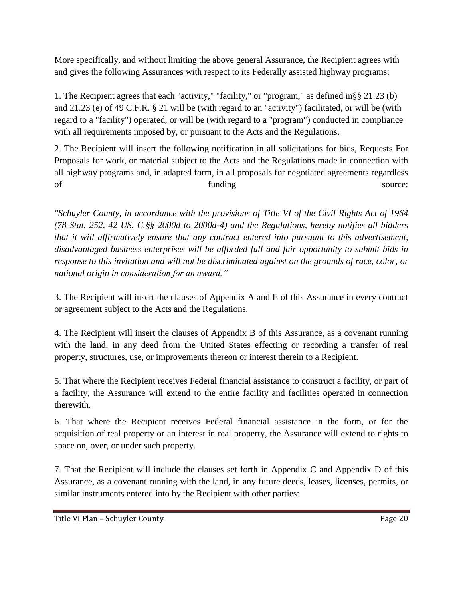More specifically, and without limiting the above general Assurance, the Recipient agrees with and gives the following Assurances with respect to its Federally assisted highway programs:

1. The Recipient agrees that each "activity," "facility," or "program," as defined in§§ 21.23 (b) and 21.23 (e) of 49 C.F.R. § 21 will be (with regard to an "activity") facilitated, or will be (with regard to a "facility") operated, or will be (with regard to a "program") conducted in compliance with all requirements imposed by, or pursuant to the Acts and the Regulations.

2. The Recipient will insert the following notification in all solicitations for bids, Requests For Proposals for work, or material subject to the Acts and the Regulations made in connection with all highway programs and, in adapted form, in all proposals for negotiated agreements regardless of funding source:

*"Schuyler County, in accordance with the provisions of Title VI of the Civil Rights Act of 1964 (78 Stat. 252, 42 US. C.§§ 2000d to 2000d-4) and the Regulations, hereby notifies all bidders that it will affirmatively ensure that any contract entered into pursuant to this advertisement, disadvantaged business enterprises will be afforded full and fair opportunity to submit bids in response to this invitation and will not be discriminated against on the grounds of race, color, or national origin in consideration for an award."*

3. The Recipient will insert the clauses of Appendix A and E of this Assurance in every contract or agreement subject to the Acts and the Regulations.

4. The Recipient will insert the clauses of Appendix B of this Assurance, as a covenant running with the land, in any deed from the United States effecting or recording a transfer of real property, structures, use, or improvements thereon or interest therein to a Recipient.

5. That where the Recipient receives Federal financial assistance to construct a facility, or part of a facility, the Assurance will extend to the entire facility and facilities operated in connection therewith.

6. That where the Recipient receives Federal financial assistance in the form, or for the acquisition of real property or an interest in real property, the Assurance will extend to rights to space on, over, or under such property.

7. That the Recipient will include the clauses set forth in Appendix C and Appendix D of this Assurance, as a covenant running with the land, in any future deeds, leases, licenses, permits, or similar instruments entered into by the Recipient with other parties: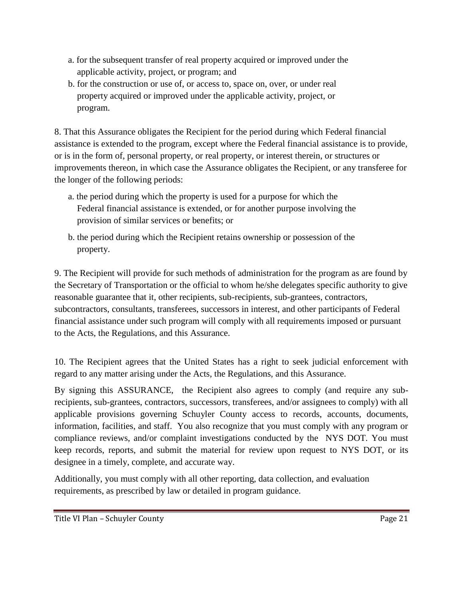- a. for the subsequent transfer of real property acquired or improved under the applicable activity, project, or program; and
- b. for the construction or use of, or access to, space on, over, or under real property acquired or improved under the applicable activity, project, or program.

8. That this Assurance obligates the Recipient for the period during which Federal financial assistance is extended to the program, except where the Federal financial assistance is to provide, or is in the form of, personal property, or real property, or interest therein, or structures or improvements thereon, in which case the Assurance obligates the Recipient, or any transferee for the longer of the following periods:

- a. the period during which the property is used for a purpose for which the Federal financial assistance is extended, or for another purpose involving the provision of similar services or benefits; or
- b. the period during which the Recipient retains ownership or possession of the property.

9. The Recipient will provide for such methods of administration for the program as are found by the Secretary of Transportation or the official to whom he/she delegates specific authority to give reasonable guarantee that it, other recipients, sub-recipients, sub-grantees, contractors, subcontractors, consultants, transferees, successors in interest, and other participants of Federal financial assistance under such program will comply with all requirements imposed or pursuant to the Acts, the Regulations, and this Assurance.

10. The Recipient agrees that the United States has a right to seek judicial enforcement with regard to any matter arising under the Acts, the Regulations, and this Assurance.

By signing this ASSURANCE, the Recipient also agrees to comply (and require any subrecipients, sub-grantees, contractors, successors, transferees, and/or assignees to comply) with all applicable provisions governing Schuyler County access to records, accounts, documents, information, facilities, and staff. You also recognize that you must comply with any program or compliance reviews, and/or complaint investigations conducted by the NYS DOT*.* You must keep records, reports, and submit the material for review upon request to NYS DOT, or its designee in a timely, complete, and accurate way.

Additionally, you must comply with all other reporting, data collection, and evaluation requirements, as prescribed by law or detailed in program guidance.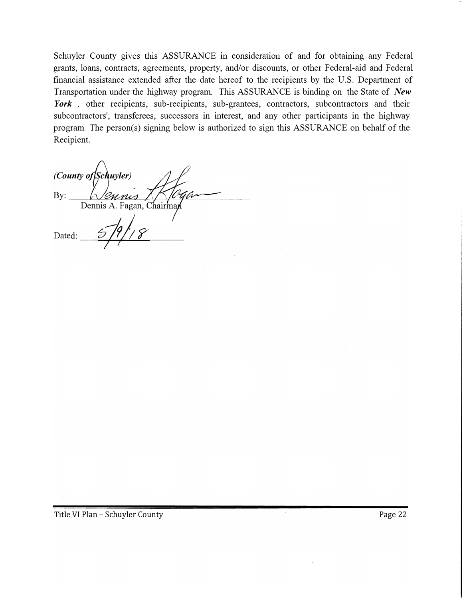Schuyler County gives this ASSURANCE in consideration of and for obtaining any Federal grants, loans, contracts, agreements, property, and/or discounts, or other Federal-aid and Federal financial assistance extended after the date hereof to the recipients by the U.S. Department of Transportation under the highway program. This ASSURANCE is binding on the State of *New*  York, other recipients, sub-recipients, sub-grantees, contractors, subcontractors and their subcontractors', transferees, successors in interest, and any other participants in the highway program. The person(s) signing below is authorized to sign this ASSURANCE on behalf of the Recipient.

(County of Schuyler) By: Dennis A. Fagan, Chairman Dated: 5/9/18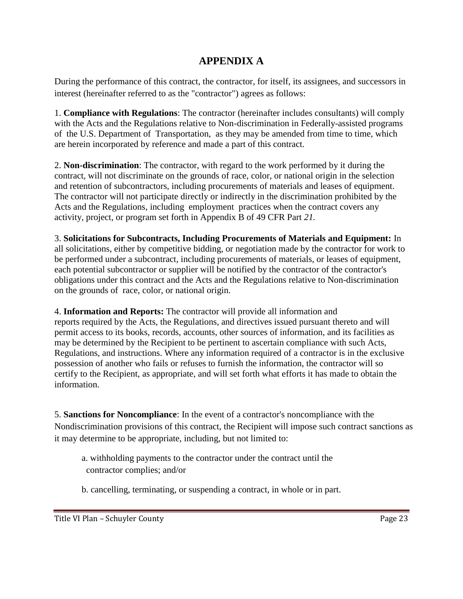### **APPENDIX A**

During the performance of this contract, the contractor, for itself, its assignees, and successors in interest (hereinafter referred to as the "contractor") agrees as follows:

1. **Compliance with Regulations**: The contractor (hereinafter includes consultants) will comply with the Acts and the Regulations relative to Non-discrimination in Federally-assisted programs of the U.S. Department of Transportation, as they may be amended from time to time, which are herein incorporated by reference and made a part of this contract.

2. **Non-discrimination**: The contractor, with regard to the work performed by it during the contract, will not discriminate on the grounds of race, color, or national origin in the selection and retention of subcontractors, including procurements of materials and leases of equipment. The contractor will not participate directly or indirectly in the discrimination prohibited by the Acts and the Regulations, including employment practices when the contract covers any activity, project, or program set forth in Appendix B of 49 CFR Part *21.*

3. **Solicitations for Subcontracts, Including Procurements of Materials and Equipment:** In all solicitations, either by competitive bidding, or negotiation made by the contractor for work to be performed under a subcontract, including procurements of materials, or leases of equipment, each potential subcontractor or supplier will be notified by the contractor of the contractor's obligations under this contract and the Acts and the Regulations relative to Non-discrimination on the grounds of race, color, or national origin.

4. **Information and Reports:** The contractor will provide all information and reports required by the Acts, the Regulations, and directives issued pursuant thereto and will permit access to its books, records, accounts, other sources of information, and its facilities as may be determined by the Recipient to be pertinent to ascertain compliance with such Acts, Regulations, and instructions. Where any information required of a contractor is in the exclusive possession of another who fails or refuses to furnish the information, the contractor will so certify to the Recipient, as appropriate, and will set forth what efforts it has made to obtain the information.

5. **Sanctions for Noncompliance**: In the event of a contractor's noncompliance with the Nondiscrimination provisions of this contract, the Recipient will impose such contract sanctions as it may determine to be appropriate, including, but not limited to:

- a. withholding payments to the contractor under the contract until the contractor complies; and/or
- b. cancelling, terminating, or suspending a contract, in whole or in part.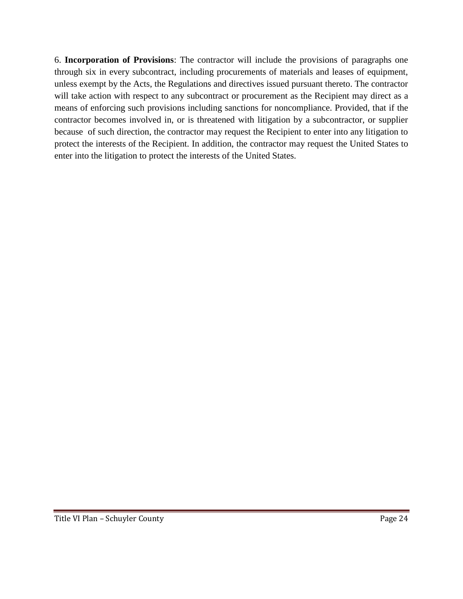6. **Incorporation of Provisions**: The contractor will include the provisions of paragraphs one through six in every subcontract, including procurements of materials and leases of equipment, unless exempt by the Acts, the Regulations and directives issued pursuant thereto. The contractor will take action with respect to any subcontract or procurement as the Recipient may direct as a means of enforcing such provisions including sanctions for noncompliance. Provided, that if the contractor becomes involved in, or is threatened with litigation by a subcontractor, or supplier because of such direction, the contractor may request the Recipient to enter into any litigation to protect the interests of the Recipient. In addition, the contractor may request the United States to enter into the litigation to protect the interests of the United States.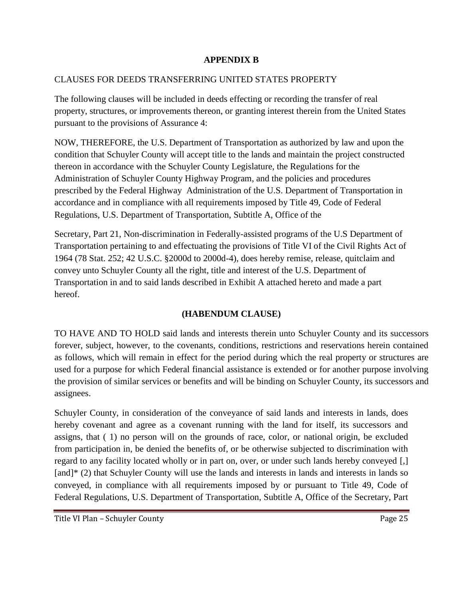#### **APPENDIX B**

#### CLAUSES FOR DEEDS TRANSFERRING UNITED STATES PROPERTY

The following clauses will be included in deeds effecting or recording the transfer of real property, structures, or improvements thereon, or granting interest therein from the United States pursuant to the provisions of Assurance 4:

NOW, THEREFORE, the U.S. Department of Transportation as authorized by law and upon the condition that Schuyler County will accept title to the lands and maintain the project constructed thereon in accordance with the Schuyler County Legislature, the Regulations for the Administration of Schuyler County Highway Program*,* and the policies and procedures prescribed by the Federal Highway Administration of the U.S. Department of Transportation in accordance and in compliance with all requirements imposed by Title 49, Code of Federal Regulations, U.S. Department of Transportation, Subtitle A, Office of the

Secretary, Part 21, Non-discrimination in Federally-assisted programs of the U.S Department of Transportation pertaining to and effectuating the provisions of Title VI of the Civil Rights Act of 1964 (78 Stat. 252; 42 U.S.C. §2000d to 2000d-4), does hereby remise, release, quitclaim and convey unto Schuyler County all the right, title and interest of the U.S. Department of Transportation in and to said lands described in Exhibit A attached hereto and made a part hereof.

#### **(HABENDUM CLAUSE)**

TO HAVE AND TO HOLD said lands and interests therein unto Schuyler County and its successors forever, subject, however, to the covenants, conditions, restrictions and reservations herein contained as follows, which will remain in effect for the period during which the real property or structures are used for a purpose for which Federal financial assistance is extended or for another purpose involving the provision of similar services or benefits and will be binding on Schuyler County*,* its successors and assignees.

Schuyler County, in consideration of the conveyance of said lands and interests in lands, does hereby covenant and agree as a covenant running with the land for itself, its successors and assigns, that ( 1) no person will on the grounds of race, color, or national origin, be excluded from participation in, be denied the benefits of, or be otherwise subjected to discrimination with regard to any facility located wholly or in part on, over, or under such lands hereby conveyed [,] [and]\* (2) that Schuyler County will use the lands and interests in lands and interests in lands so conveyed, in compliance with all requirements imposed by or pursuant to Title 49, Code of Federal Regulations, U.S. Department of Transportation, Subtitle A, Office of the Secretary, Part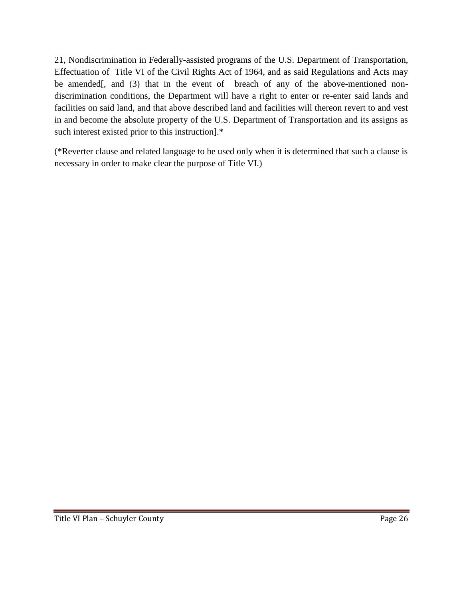21, Nondiscrimination in Federally-assisted programs of the U.S. Department of Transportation, Effectuation of Title VI of the Civil Rights Act of 1964, and as said Regulations and Acts may be amended[, and (3) that in the event of breach of any of the above-mentioned nondiscrimination conditions, the Department will have a right to enter or re-enter said lands and facilities on said land, and that above described land and facilities will thereon revert to and vest in and become the absolute property of the U.S. Department of Transportation and its assigns as such interest existed prior to this instruction].\*

(\*Reverter clause and related language to be used only when it is determined that such a clause is necessary in order to make clear the purpose of Title VI.)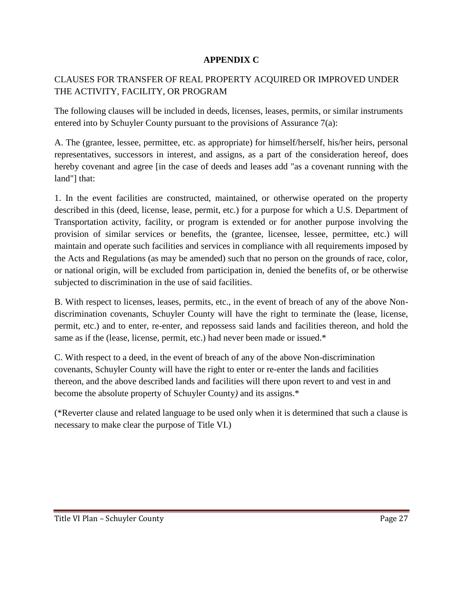#### **APPENDIX C**

### CLAUSES FOR TRANSFER OF REAL PROPERTY ACQUIRED OR IMPROVED UNDER THE ACTIVITY, FACILITY, OR PROGRAM

The following clauses will be included in deeds, licenses, leases, permits, or similar instruments entered into by Schuyler County pursuant to the provisions of Assurance 7(a):

A. The (grantee, lessee, permittee, etc. as appropriate) for himself/herself, his/her heirs, personal representatives, successors in interest, and assigns, as a part of the consideration hereof, does hereby covenant and agree [in the case of deeds and leases add "as a covenant running with the land"] that:

1. In the event facilities are constructed, maintained, or otherwise operated on the property described in this (deed, license, lease, permit, etc.) for a purpose for which a U.S. Department of Transportation activity, facility, or program is extended or for another purpose involving the provision of similar services or benefits, the (grantee, licensee, lessee, permittee, etc.) will maintain and operate such facilities and services in compliance with all requirements imposed by the Acts and Regulations (as may be amended) such that no person on the grounds of race, color, or national origin, will be excluded from participation in, denied the benefits of, or be otherwise subjected to discrimination in the use of said facilities.

B. With respect to licenses, leases, permits, etc., in the event of breach of any of the above Nondiscrimination covenants, Schuyler County will have the right to terminate the (lease, license, permit, etc.) and to enter, re-enter, and repossess said lands and facilities thereon, and hold the same as if the (lease, license, permit, etc.) had never been made or issued.\*

C. With respect to a deed, in the event of breach of any of the above Non-discrimination covenants, Schuyler County will have the right to enter or re-enter the lands and facilities thereon, and the above described lands and facilities will there upon revert to and vest in and become the absolute property of Schuyler County*)* and its assigns.\*

(\*Reverter clause and related language to be used only when it is determined that such a clause is necessary to make clear the purpose of Title VI.)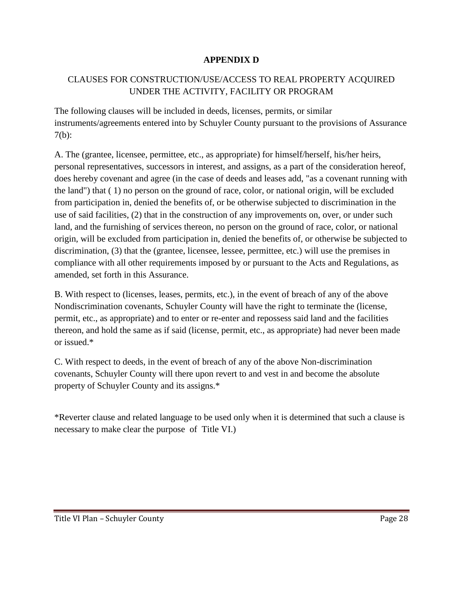### **APPENDIX D**

### CLAUSES FOR CONSTRUCTION/USE/ACCESS TO REAL PROPERTY ACQUIRED UNDER THE ACTIVITY, FACILITY OR PROGRAM

The following clauses will be included in deeds, licenses, permits, or similar instruments/agreements entered into by Schuyler County pursuant to the provisions of Assurance 7(b):

A. The (grantee, licensee, permittee, etc., as appropriate) for himself/herself, his/her heirs, personal representatives, successors in interest, and assigns, as a part of the consideration hereof, does hereby covenant and agree (in the case of deeds and leases add, "as a covenant running with the land") that ( 1) no person on the ground of race, color, or national origin, will be excluded from participation in, denied the benefits of, or be otherwise subjected to discrimination in the use of said facilities, (2) that in the construction of any improvements on, over, or under such land, and the furnishing of services thereon, no person on the ground of race, color, or national origin, will be excluded from participation in, denied the benefits of, or otherwise be subjected to discrimination, (3) that the (grantee, licensee, lessee, permittee, etc.) will use the premises in compliance with all other requirements imposed by or pursuant to the Acts and Regulations, as amended, set forth in this Assurance.

B. With respect to (licenses, leases, permits, etc.), in the event of breach of any of the above Nondiscrimination covenants, Schuyler County will have the right to terminate the (license, permit, etc., as appropriate) and to enter or re-enter and repossess said land and the facilities thereon, and hold the same as if said (license, permit, etc., as appropriate) had never been made or issued.\*

C. With respect to deeds, in the event of breach of any of the above Non-discrimination covenants, Schuyler County will there upon revert to and vest in and become the absolute property of Schuyler County and its assigns.\*

\*Reverter clause and related language to be used only when it is determined that such a clause is necessary to make clear the purpose of Title VI.)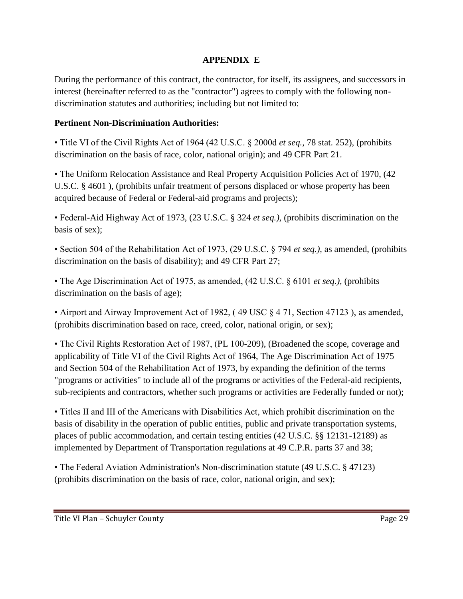#### **APPENDIX E**

During the performance of this contract, the contractor, for itself, its assignees, and successors in interest (hereinafter referred to as the "contractor") agrees to comply with the following nondiscrimination statutes and authorities; including but not limited to:

### **Pertinent Non-Discrimination Authorities:**

• Title VI of the Civil Rights Act of 1964 (42 U.S.C. § 2000d *et seq.,* 78 stat. 252), (prohibits discrimination on the basis of race, color, national origin); and 49 CFR Part 21.

• The Uniform Relocation Assistance and Real Property Acquisition Policies Act of 1970, (42 U.S.C. § 4601 ), (prohibits unfair treatment of persons displaced or whose property has been acquired because of Federal or Federal-aid programs and projects);

• Federal-Aid Highway Act of 1973, (23 U.S.C. § 324 *et seq.),* (prohibits discrimination on the basis of sex);

• Section 504 of the Rehabilitation Act of 1973, (29 U.S.C. § 794 *et seq.),* as amended, (prohibits discrimination on the basis of disability); and 49 CFR Part 27;

• The Age Discrimination Act of 1975, as amended, (42 U.S.C. § 6101 *et seq.),* (prohibits discrimination on the basis of age);

• Airport and Airway Improvement Act of 1982, ( 49 USC § 4 71, Section 47123 ), as amended, (prohibits discrimination based on race, creed, color, national origin, or sex);

• The Civil Rights Restoration Act of 1987, (PL 100-209), (Broadened the scope, coverage and applicability of Title VI of the Civil Rights Act of 1964, The Age Discrimination Act of 1975 and Section 504 of the Rehabilitation Act of 1973, by expanding the definition of the terms "programs or activities" to include all of the programs or activities of the Federal-aid recipients, sub-recipients and contractors, whether such programs or activities are Federally funded or not);

• Titles II and III of the Americans with Disabilities Act, which prohibit discrimination on the basis of disability in the operation of public entities, public and private transportation systems, places of public accommodation, and certain testing entities (42 U.S.C. §§ 12131-12189) as implemented by Department of Transportation regulations at 49 C.P.R. parts 37 and 38;

• The Federal Aviation Administration's Non-discrimination statute (49 U.S.C. § 47123) (prohibits discrimination on the basis of race, color, national origin, and sex);